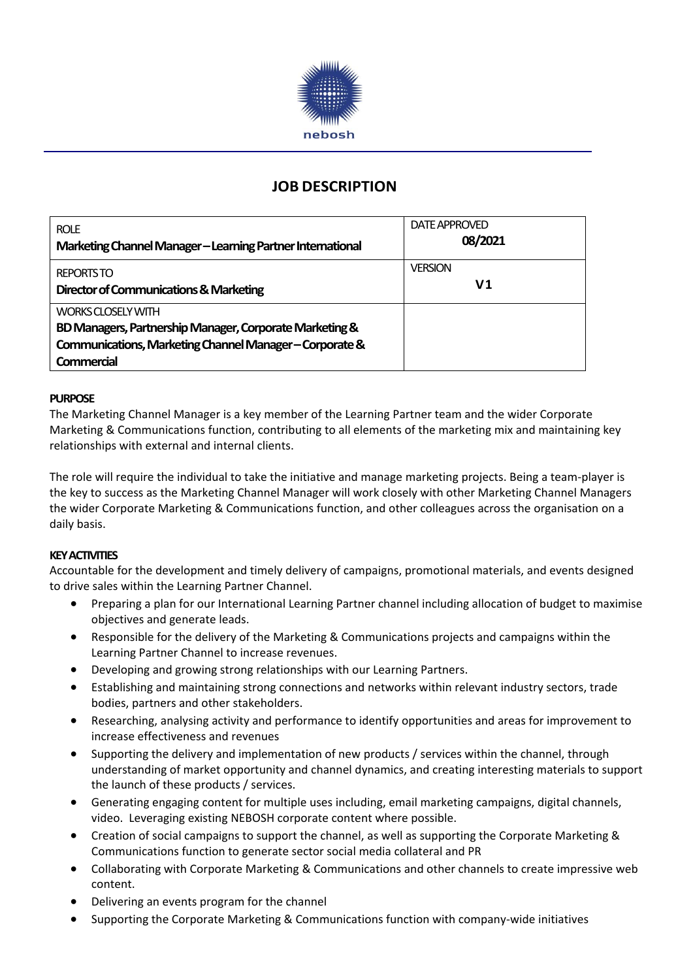

# **JOB DESCRIPTION**

| <b>ROLE</b><br>Marketing Channel Manager - Learning Partner International | DATE APPROVED<br>08/2021 |
|---------------------------------------------------------------------------|--------------------------|
| <b>REPORTSTO</b><br>Director of Communications & Marketing                | <b>VERSION</b><br>V1     |
| WORKS CLOSELY WITH                                                        |                          |
| BD Managers, Partnership Manager, Corporate Marketing &                   |                          |
| Communications, Marketing Channel Manager-Corporate &                     |                          |
| Commercial                                                                |                          |

# **PURPOSE**

The Marketing Channel Manager is a key member of the Learning Partner team and the wider Corporate Marketing & Communications function, contributing to all elements of the marketing mix and maintaining key relationships with external and internal clients.

The role will require the individual to take the initiative and manage marketing projects. Being a team-player is the key to success as the Marketing Channel Manager will work closely with other Marketing Channel Managers the wider Corporate Marketing & Communications function, and other colleagues across the organisation on a daily basis.

# **KEY ACTIVITIES**

Accountable for the development and timely delivery of campaigns, promotional materials, and events designed to drive sales within the Learning Partner Channel.

- Preparing a plan for our International Learning Partner channel including allocation of budget to maximise objectives and generate leads.
- Responsible for the delivery of the Marketing & Communications projects and campaigns within the Learning Partner Channel to increase revenues.
- Developing and growing strong relationships with our Learning Partners.
- Establishing and maintaining strong connections and networks within relevant industry sectors, trade bodies, partners and other stakeholders.
- Researching, analysing activity and performance to identify opportunities and areas for improvement to increase effectiveness and revenues
- Supporting the delivery and implementation of new products / services within the channel, through understanding of market opportunity and channel dynamics, and creating interesting materials to support the launch of these products / services.
- Generating engaging content for multiple uses including, email marketing campaigns, digital channels, video. Leveraging existing NEBOSH corporate content where possible.
- Creation of social campaigns to support the channel, as well as supporting the Corporate Marketing & Communications function to generate sector social media collateral and PR
- Collaborating with Corporate Marketing & Communications and other channels to create impressive web content.
- Delivering an events program for the channel
- Supporting the Corporate Marketing & Communications function with company-wide initiatives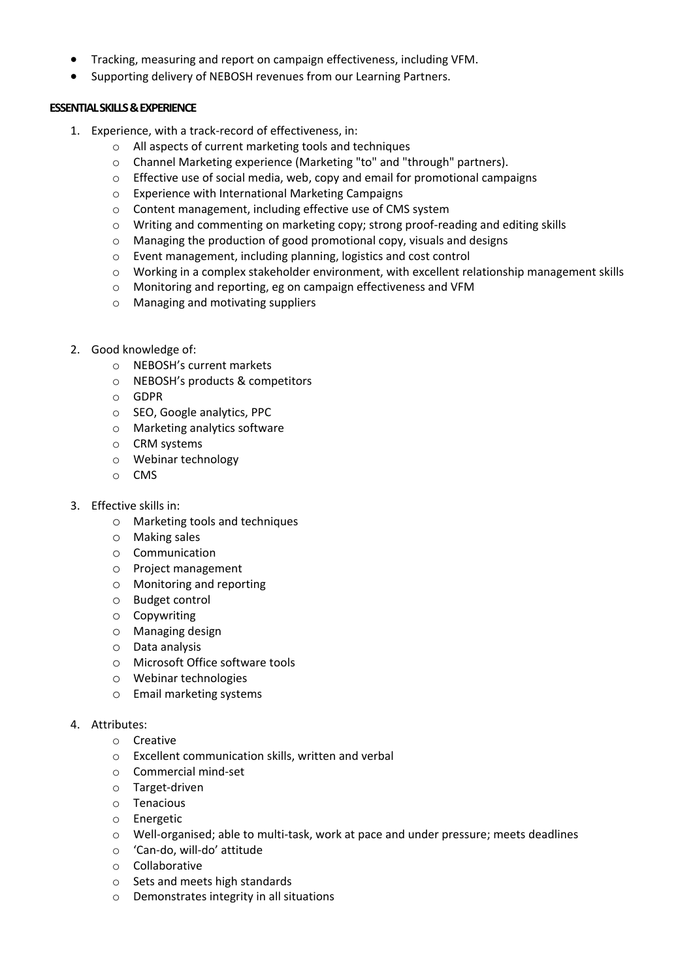- Tracking, measuring and report on campaign effectiveness, including VFM.
- Supporting delivery of NEBOSH revenues from our Learning Partners.

# **ESSENTIAL SKILLS & EXPERIENCE**

- 1. Experience, with a track-record of effectiveness, in:
	- o All aspects of current marketing tools and techniques
	- o Channel Marketing experience (Marketing "to" and "through" partners).
	- $\circ$  Effective use of social media, web, copy and email for promotional campaigns
	- o Experience with International Marketing Campaigns
	- o Content management, including effective use of CMS system
	- $\circ$  Writing and commenting on marketing copy; strong proof-reading and editing skills
	- o Managing the production of good promotional copy, visuals and designs
	- o Event management, including planning, logistics and cost control
	- o Working in a complex stakeholder environment, with excellent relationship management skills
	- o Monitoring and reporting, eg on campaign effectiveness and VFM
	- o Managing and motivating suppliers
- 2. Good knowledge of:
	- o NEBOSH's current markets
	- o NEBOSH's products & competitors
	- o GDPR
	- o SEO, Google analytics, PPC
	- o Marketing analytics software
	- o CRM systems
	- o Webinar technology
	- o CMS
- 3. Effective skills in:
	- o Marketing tools and techniques
	- o Making sales
	- o Communication
	- o Project management
	- o Monitoring and reporting
	- o Budget control
	- o Copywriting
	- o Managing design
	- o Data analysis
	- o Microsoft Office software tools
	- o Webinar technologies
	- o Email marketing systems

# 4. Attributes:

- o Creative
- o Excellent communication skills, written and verbal
- o Commercial mind-set
- o Target-driven
- o Tenacious
- o Energetic
- o Well-organised; able to multi-task, work at pace and under pressure; meets deadlines
- o 'Can-do, will-do' attitude
- o Collaborative
- o Sets and meets high standards
- o Demonstrates integrity in all situations